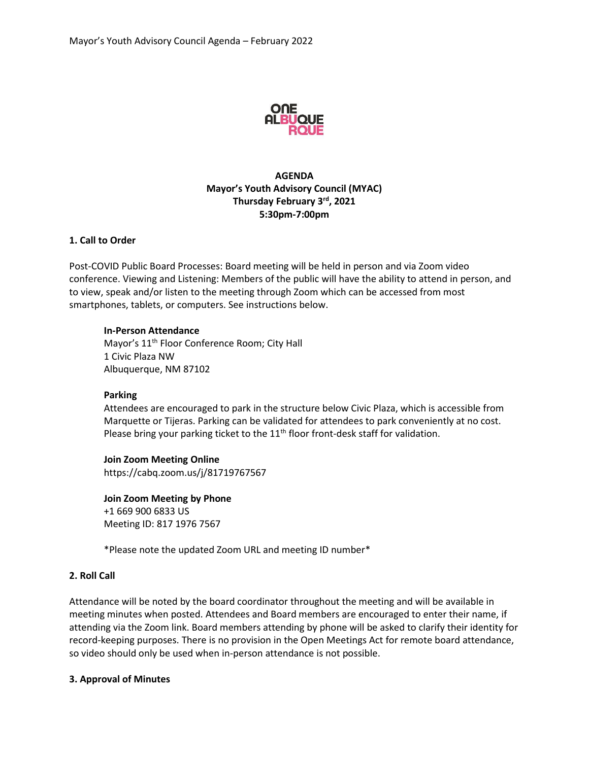

# **AGENDA Mayor's Youth Advisory Council (MYAC) Thursday February 3rd, 2021 5:30pm-7:00pm**

# **1. Call to Order**

Post-COVID Public Board Processes: Board meeting will be held in person and via Zoom video conference. Viewing and Listening: Members of the public will have the ability to attend in person, and to view, speak and/or listen to the meeting through Zoom which can be accessed from most smartphones, tablets, or computers. See instructions below.

### **In-Person Attendance**

Mayor's 11<sup>th</sup> Floor Conference Room; City Hall 1 Civic Plaza NW Albuquerque, NM 87102

#### **Parking**

Attendees are encouraged to park in the structure below Civic Plaza, which is accessible from Marquette or Tijeras. Parking can be validated for attendees to park conveniently at no cost. Please bring your parking ticket to the  $11<sup>th</sup>$  floor front-desk staff for validation.

**Join Zoom Meeting Online** https://cabq.zoom.us/j/81719767567

**Join Zoom Meeting by Phone** +1 669 900 6833 US Meeting ID: 817 1976 7567

\*Please note the updated Zoom URL and meeting ID number\*

# **2. Roll Call**

Attendance will be noted by the board coordinator throughout the meeting and will be available in meeting minutes when posted. Attendees and Board members are encouraged to enter their name, if attending via the Zoom link. Board members attending by phone will be asked to clarify their identity for record-keeping purposes. There is no provision in the Open Meetings Act for remote board attendance, so video should only be used when in-person attendance is not possible.

#### **3. Approval of Minutes**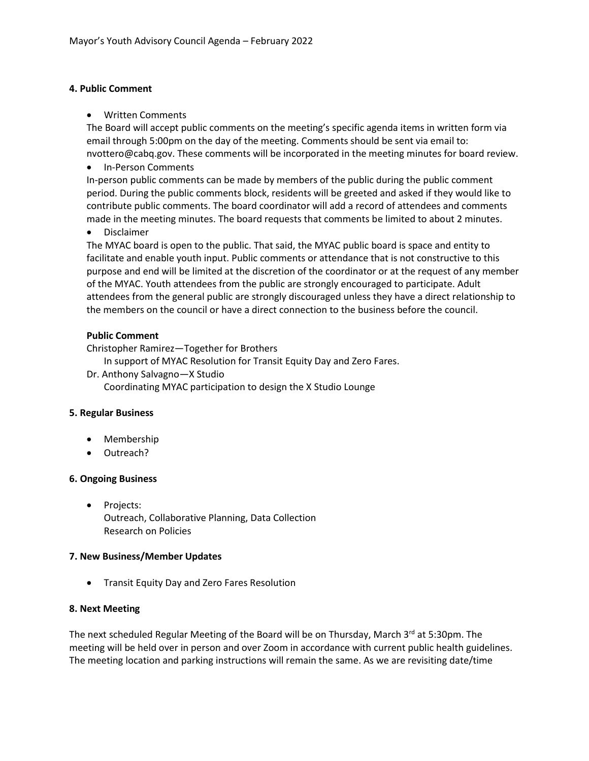# **4. Public Comment**

• Written Comments

The Board will accept public comments on the meeting's specific agenda items in written form via email through 5:00pm on the day of the meeting. Comments should be sent via email to: nvottero@cabq.gov. These comments will be incorporated in the meeting minutes for board review.

• In-Person Comments

In-person public comments can be made by members of the public during the public comment period. During the public comments block, residents will be greeted and asked if they would like to contribute public comments. The board coordinator will add a record of attendees and comments made in the meeting minutes. The board requests that comments be limited to about 2 minutes.

• Disclaimer

The MYAC board is open to the public. That said, the MYAC public board is space and entity to facilitate and enable youth input. Public comments or attendance that is not constructive to this purpose and end will be limited at the discretion of the coordinator or at the request of any member of the MYAC. Youth attendees from the public are strongly encouraged to participate. Adult attendees from the general public are strongly discouraged unless they have a direct relationship to the members on the council or have a direct connection to the business before the council.

# **Public Comment**

Christopher Ramirez—Together for Brothers

In support of MYAC Resolution for Transit Equity Day and Zero Fares.

Dr. Anthony Salvagno—X Studio

Coordinating MYAC participation to design the X Studio Lounge

# **5. Regular Business**

- Membership
- Outreach?

# **6. Ongoing Business**

• Projects: Outreach, Collaborative Planning, Data Collection Research on Policies

# **7. New Business/Member Updates**

• Transit Equity Day and Zero Fares Resolution

# **8. Next Meeting**

The next scheduled Regular Meeting of the Board will be on Thursday, March 3<sup>rd</sup> at 5:30pm. The meeting will be held over in person and over Zoom in accordance with current public health guidelines. The meeting location and parking instructions will remain the same. As we are revisiting date/time